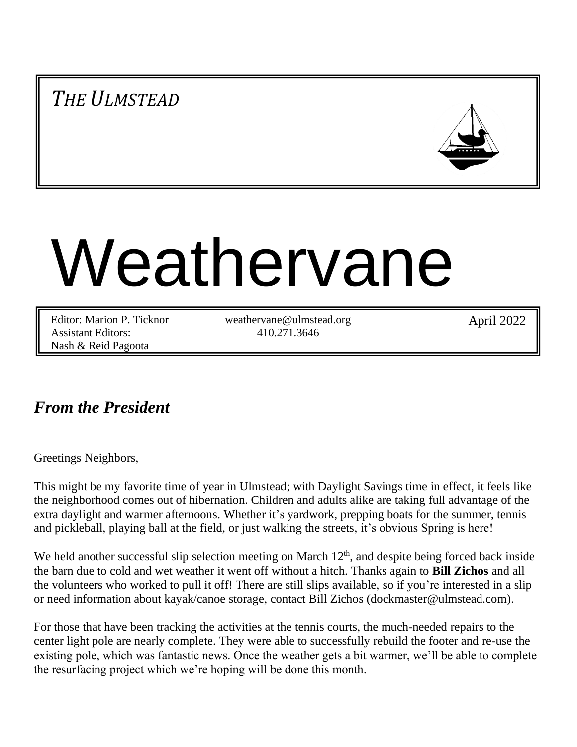*THE ULMSTEAD*



# Weathervane

Editor: Marion P. Ticknor Assistant Editors: Nash & Reid Pagoota

weathervane@ulmstead.org 410.271.3646

April 2022

# *From the President*

Greetings Neighbors,

This might be my favorite time of year in Ulmstead; with Daylight Savings time in effect, it feels like the neighborhood comes out of hibernation. Children and adults alike are taking full advantage of the extra daylight and warmer afternoons. Whether it's yardwork, prepping boats for the summer, tennis and pickleball, playing ball at the field, or just walking the streets, it's obvious Spring is here!

We held another successful slip selection meeting on March  $12<sup>th</sup>$ , and despite being forced back inside the barn due to cold and wet weather it went off without a hitch. Thanks again to **Bill Zichos** and all the volunteers who worked to pull it off! There are still slips available, so if you're interested in a slip or need information about kayak/canoe storage, contact Bill Zichos (dockmaster@ulmstead.com).

For those that have been tracking the activities at the tennis courts, the much-needed repairs to the center light pole are nearly complete. They were able to successfully rebuild the footer and re-use the existing pole, which was fantastic news. Once the weather gets a bit warmer, we'll be able to complete the resurfacing project which we're hoping will be done this month.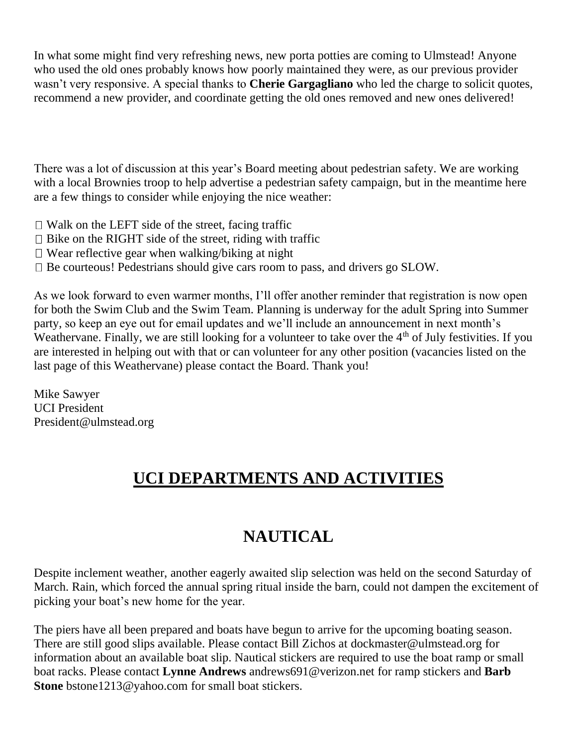In what some might find very refreshing news, new porta potties are coming to Ulmstead! Anyone who used the old ones probably knows how poorly maintained they were, as our previous provider wasn't very responsive. A special thanks to **Cherie Gargagliano** who led the charge to solicit quotes, recommend a new provider, and coordinate getting the old ones removed and new ones delivered!

There was a lot of discussion at this year's Board meeting about pedestrian safety. We are working with a local Brownies troop to help advertise a pedestrian safety campaign, but in the meantime here are a few things to consider while enjoying the nice weather:

- $\Box$  Walk on the LEFT side of the street, facing traffic
- $\Box$  Bike on the RIGHT side of the street, riding with traffic
- $\Box$  Wear reflective gear when walking/biking at night
- $\Box$  Be courteous! Pedestrians should give cars room to pass, and drivers go SLOW.

As we look forward to even warmer months, I'll offer another reminder that registration is now open for both the Swim Club and the Swim Team. Planning is underway for the adult Spring into Summer party, so keep an eye out for email updates and we'll include an announcement in next month's Weathervane. Finally, we are still looking for a volunteer to take over the  $4<sup>th</sup>$  of July festivities. If you are interested in helping out with that or can volunteer for any other position (vacancies listed on the last page of this Weathervane) please contact the Board. Thank you!

Mike Sawyer UCI President President@ulmstead.org

# **UCI DEPARTMENTS AND ACTIVITIES**

# **NAUTICAL**

Despite inclement weather, another eagerly awaited slip selection was held on the second Saturday of March. Rain, which forced the annual spring ritual inside the barn, could not dampen the excitement of picking your boat's new home for the year.

The piers have all been prepared and boats have begun to arrive for the upcoming boating season. There are still good slips available. Please contact Bill Zichos at dockmaster@ulmstead.org for information about an available boat slip. Nautical stickers are required to use the boat ramp or small boat racks. Please contact **Lynne Andrews** andrews691@verizon.net for ramp stickers and **Barb Stone** bstone1213@yahoo.com for small boat stickers.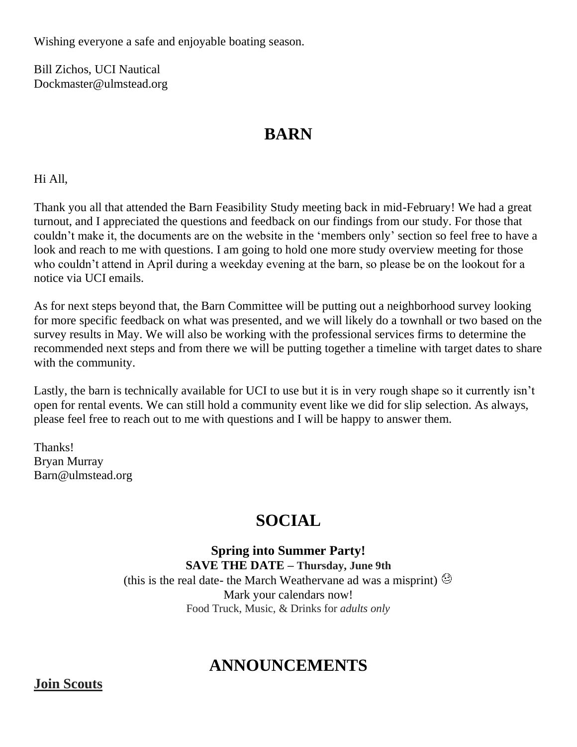Wishing everyone a safe and enjoyable boating season.

Bill Zichos, UCI Nautical Dockmaster@ulmstead.org

## **BARN**

Hi All,

Thank you all that attended the Barn Feasibility Study meeting back in mid-February! We had a great turnout, and I appreciated the questions and feedback on our findings from our study. For those that couldn't make it, the documents are on the website in the 'members only' section so feel free to have a look and reach to me with questions. I am going to hold one more study overview meeting for those who couldn't attend in April during a weekday evening at the barn, so please be on the lookout for a notice via UCI emails.

As for next steps beyond that, the Barn Committee will be putting out a neighborhood survey looking for more specific feedback on what was presented, and we will likely do a townhall or two based on the survey results in May. We will also be working with the professional services firms to determine the recommended next steps and from there we will be putting together a timeline with target dates to share with the community.

Lastly, the barn is technically available for UCI to use but it is in very rough shape so it currently isn't open for rental events. We can still hold a community event like we did for slip selection. As always, please feel free to reach out to me with questions and I will be happy to answer them.

Thanks! Bryan Murray Barn@ulmstead.org

# **SOCIAL**

**Spring into Summer Party! SAVE THE DATE – Thursday, June 9th** (this is the real date- the March Weathervane ad was a misprint)  $\circledcirc$ Mark your calendars now! Food Truck, Music, & Drinks for *adults only*

# **ANNOUNCEMENTS**

**Join Scouts**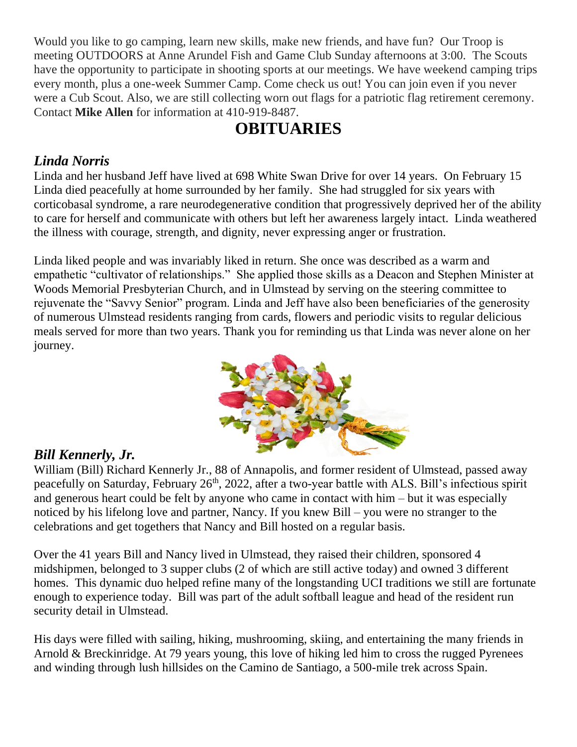Would you like to go camping, learn new skills, make new friends, and have fun? Our Troop is meeting OUTDOORS at Anne Arundel Fish and Game Club Sunday afternoons at 3:00. The Scouts have the opportunity to participate in shooting sports at our meetings. We have weekend camping trips every month, plus a one-week Summer Camp. Come check us out! You can join even if you never were a Cub Scout. Also, we are still collecting worn out flags for a patriotic flag retirement ceremony. Contact **Mike Allen** for information at 410-919-8487.

# **OBITUARIES**

## *Linda Norris*

Linda and her husband Jeff have lived at 698 White Swan Drive for over 14 years. On February 15 Linda died peacefully at home surrounded by her family. She had struggled for six years with corticobasal syndrome, a rare neurodegenerative condition that progressively deprived her of the ability to care for herself and communicate with others but left her awareness largely intact. Linda weathered the illness with courage, strength, and dignity, never expressing anger or frustration.

Linda liked people and was invariably liked in return. She once was described as a warm and empathetic "cultivator of relationships." She applied those skills as a Deacon and Stephen Minister at Woods Memorial Presbyterian Church, and in Ulmstead by serving on the steering committee to rejuvenate the "Savvy Senior" program. Linda and Jeff have also been beneficiaries of the generosity of numerous Ulmstead residents ranging from cards, flowers and periodic visits to regular delicious meals served for more than two years. Thank you for reminding us that Linda was never alone on her journey.



## *Bill Kennerly, Jr.*

William (Bill) Richard Kennerly Jr., 88 of Annapolis, and former resident of Ulmstead, passed away peacefully on Saturday, February 26<sup>th</sup>, 2022, after a two-year battle with ALS. Bill's infectious spirit and generous heart could be felt by anyone who came in contact with him – but it was especially noticed by his lifelong love and partner, Nancy. If you knew Bill – you were no stranger to the celebrations and get togethers that Nancy and Bill hosted on a regular basis.

Over the 41 years Bill and Nancy lived in Ulmstead, they raised their children, sponsored 4 midshipmen, belonged to 3 supper clubs (2 of which are still active today) and owned 3 different homes. This dynamic duo helped refine many of the longstanding UCI traditions we still are fortunate enough to experience today. Bill was part of the adult softball league and head of the resident run security detail in Ulmstead.

His days were filled with sailing, hiking, mushrooming, skiing, and entertaining the many friends in Arnold & Breckinridge. At 79 years young, this love of hiking led him to cross the rugged Pyrenees and winding through lush hillsides on the Camino de Santiago, a 500-mile trek across Spain.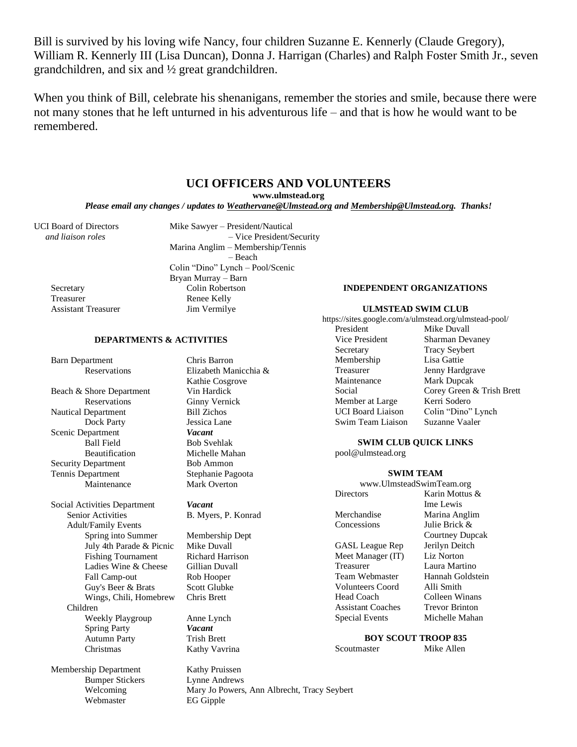Bill is survived by his loving wife Nancy, four children Suzanne E. Kennerly (Claude Gregory), William R. Kennerly III (Lisa Duncan), Donna J. Harrigan (Charles) and Ralph Foster Smith Jr., seven grandchildren, and six and ½ great grandchildren.

When you think of Bill, celebrate his shenanigans, remember the stories and smile, because there were not many stones that he left unturned in his adventurous life – and that is how he would want to be remembered.

## **UCI OFFICERS AND VOLUNTEERS**

**www.ulmstead.org**

*Please email any changes / updates to Weathervane@Ulmstead.org and Membership@Ulmstead.org. Thanks!*

Assistant Treasurer Jim Vermilye

UCI Board of Directors Mike Sawyer – President/Nautical  *and liaison roles* – Vice President/Security Marina Anglim – Membership/Tennis – Beach Colin "Dino" Lynch – Pool/Scenic Bryan Murray – Barn Secretary Colin Robertson Treasurer Renee Kelly

#### **INDEPENDENT ORGANIZATIONS**

#### **ULMSTEAD SWIM CLUB**

https://sites.google.com/a/ulmstead.org/ulmstead-pool/

President Mike Duvall Vice President Sharman Devaney Secretary Tracy Seybert Membership Lisa Gattie Treasurer Jenny Hardgrave Maintenance Mark Dupcak Member at Large Kerri Sodero

Social Corey Green & Trish Brett UCI Board Liaison Colin "Dino" Lynch Swim Team Liaison Suzanne Vaaler

**SWIM CLUB QUICK LINKS**

pool@ulmstead.org

#### **SWIM TEAM**

www.UlmsteadSwimTeam.org Directors Karin Mottus & Ime Lewis Merchandise Marina Anglim Concessions Julie Brick & Courtney Dupcak GASL League Rep Jerilyn Deitch Meet Manager (IT) Liz Norton Treasurer Laura Martino<br>Team Webmaster Hannah Goldst Hannah Goldstein Volunteers Coord Alli Smith

Head Coach Colleen Winans Assistant Coaches Trevor Brinton Special Events Michelle Mahan

**BOY SCOUT TROOP 835**<br>aster Mike Allen

Scoutmaster

Membership Department Kathy Pruissen Bumper Stickers Lynne Andrews Webmaster EG Gipple

Autumn Party

Children

Adult/Family Events

July 4th Parade & Picnic

Barn Department Chris Barron Reservations Elizabeth Manicchia & Kathie Cosgrove Beach & Shore Department Vin Hardick Reservations Ginny Vernick Nautical Department Bill Zichos Dock Party Jessica Lane Scenic Department *Vacant* Ball Field Bob Svehlak Beautification Michelle Mahan Security Department Bob Ammon Tennis Department Stephanie Pagoota Maintenance Mark Overton

**DEPARTMENTS & ACTIVITIES**

Social Activities Department *Vacant* Senior Activities B. Myers, P. Konrad

> Spring into Summer Membership Dept<br>July 4th Parade & Picnic Mike Duvall Fishing Tournament Richard Harrison Ladies Wine & Cheese Gillian Duvall Fall Camp-out Rob Hooper Guy's Beer & Brats Scott Glubke Wings, Chili, Homebrew Chris Brett

Weekly Playgroup Anne Lynch Spring Party *Vacant*<br>
Autumn Party **Trish Brett** Christmas Kathy Vavrina

Welcoming Mary Jo Powers, Ann Albrecht, Tracy Seybert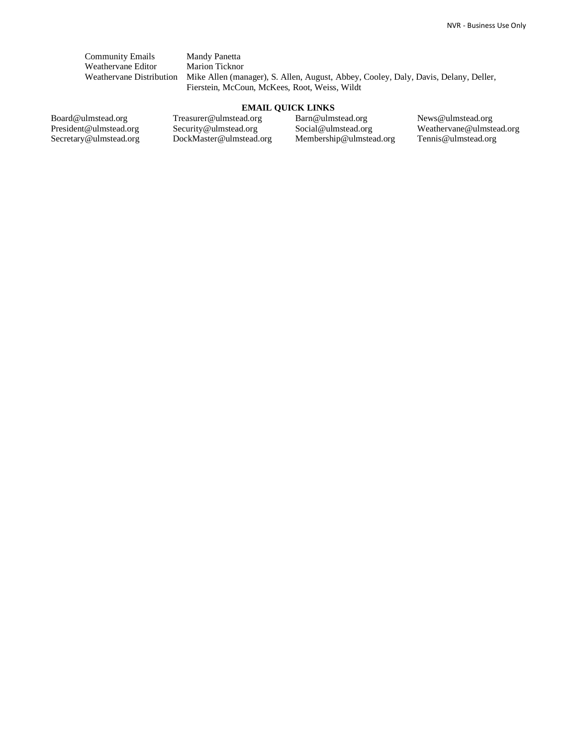Community Emails Mandy Panetta<br>Weathervane Editor Marion Ticknor Weathervane Editor

Weathervane Distribution Mike Allen (manager), S. Allen, August, Abbey, Cooley, Daly, Davis, Delany, Deller, Fierstein, McCoun, McKees, Root, Weiss, Wildt

### **EMAIL QUICK LINKS**

Board@ulmstead.org President@ulmstead.org Secretary@ulmstead.org Treasurer@ulmstead.org Security@ulmstead.org DockMaster@ulmstead.org Barn@ulmstead.org Social@ulmstead.org Membership@ulmstead.org News@ulmstead.org Weathervane@ulmstead.org Tennis@ulmstead.org